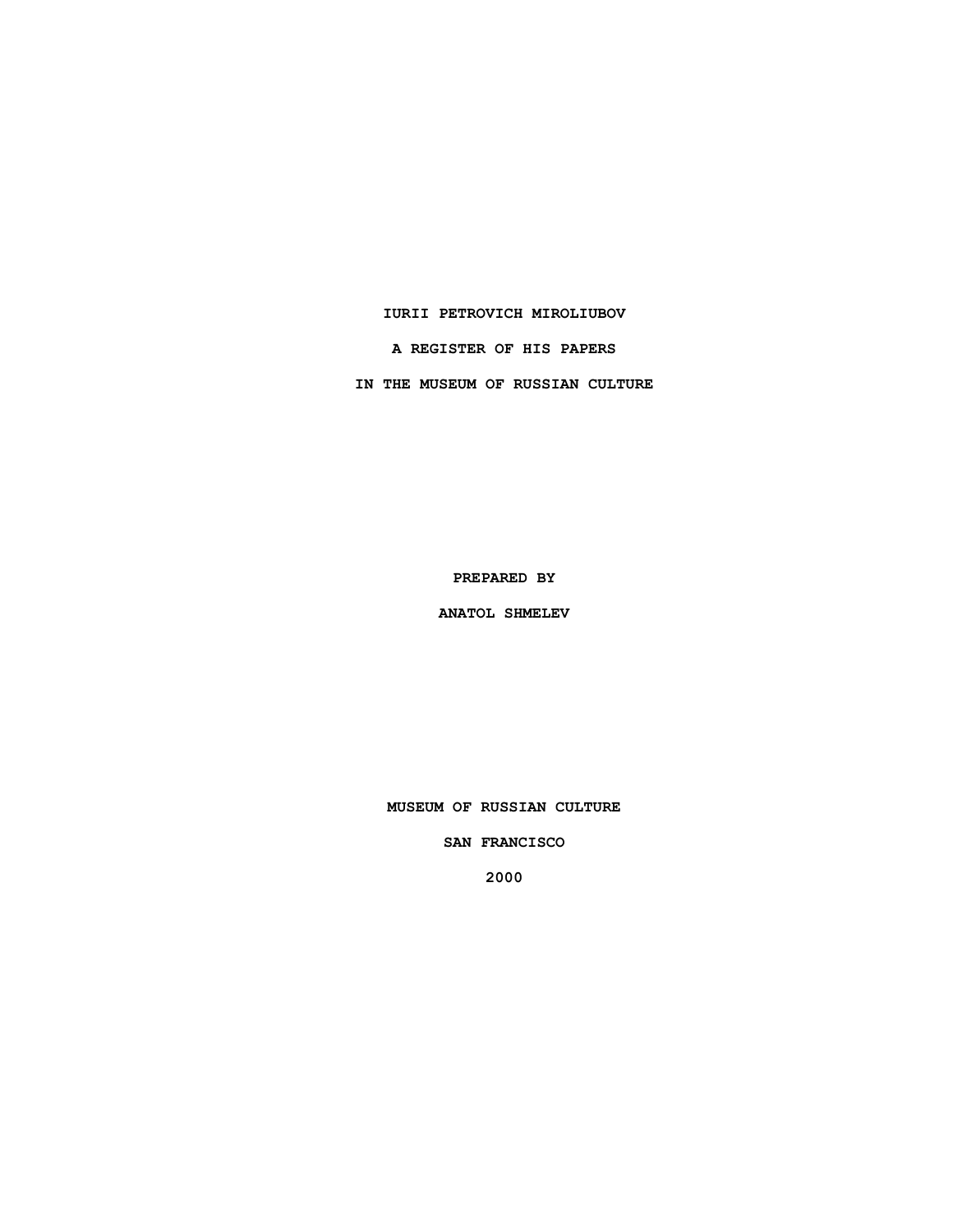#### **IURII PETROVICH MIROLIUBOV**

**A REGISTER OF HIS PAPERS**

**IN THE MUSEUM OF RUSSIAN CULTURE**

**PREPARED BY**

**ANATOL SHMELEV**

**MUSEUM OF RUSSIAN CULTURE**

**SAN FRANCISCO**

**2000**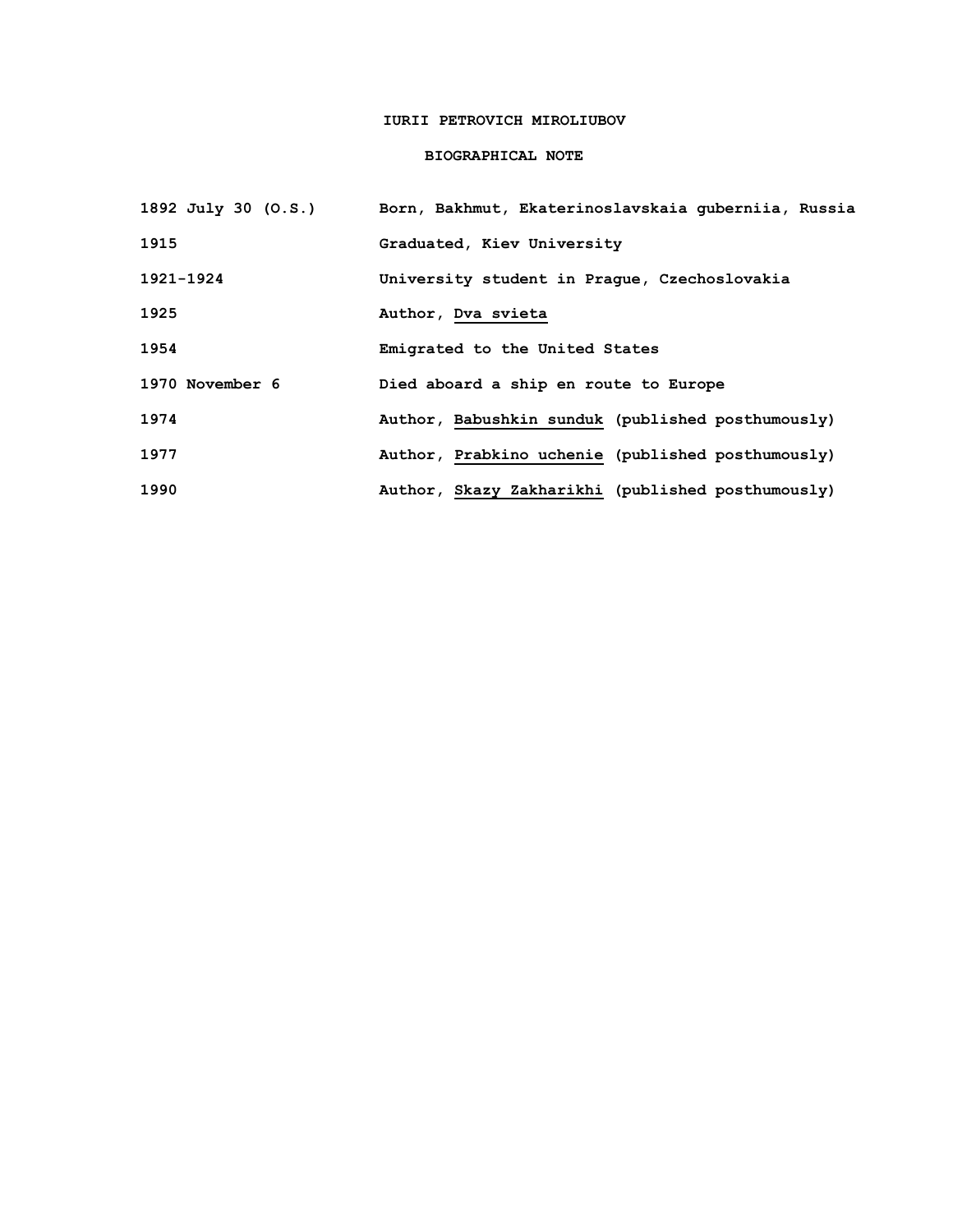## **IURII PETROVICH MIROLIUBOV**

### **BIOGRAPHICAL NOTE**

| 1892 July 30 (O.S.) | Born, Bakhmut, Ekaterinoslavskaia quberniia, Russia |
|---------------------|-----------------------------------------------------|
| 1915                | Graduated, Kiev University                          |
| 1921-1924           | University student in Praque, Czechoslovakia        |
| 1925                | Author, Dva svieta                                  |
| 1954                | Emigrated to the United States                      |
| 1970 November 6     | Died aboard a ship en route to Europe               |
| 1974                | Author, Babushkin sunduk (published posthumously)   |
| 1977                | Author, Prabkino uchenie (published posthumously)   |
| 1990                | Author, Skazy Zakharikhi (published posthumously)   |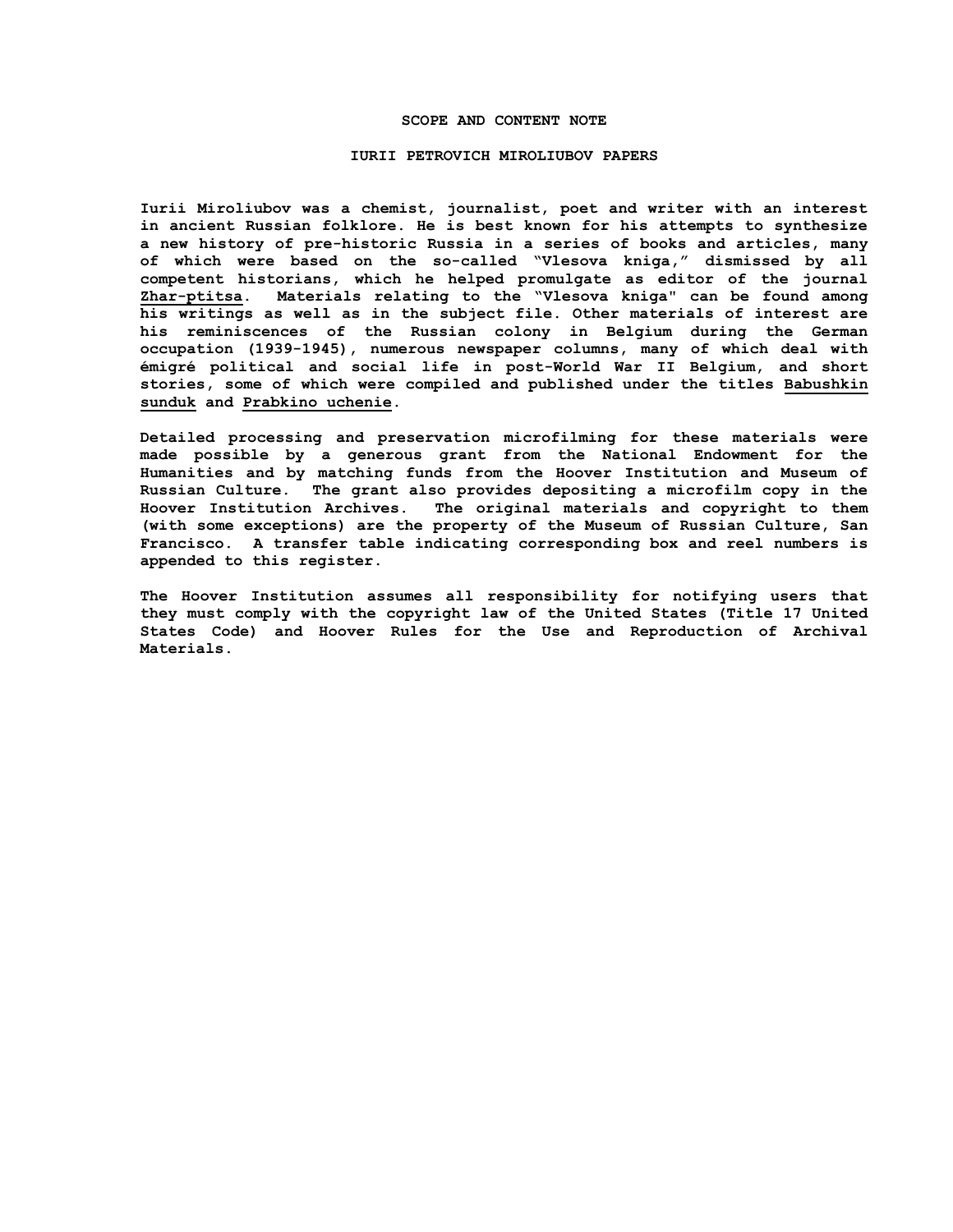#### **SCOPE AND CONTENT NOTE**

#### **IURII PETROVICH MIROLIUBOV PAPERS**

**Iurii Miroliubov was a chemist, journalist, poet and writer with an interest in ancient Russian folklore. He is best known for his attempts to synthesize a new history of pre-historic Russia in a series of books and articles, many of which were based on the so-called "Vlesova kniga," dismissed by all competent historians, which he helped promulgate as editor of the journal Zhar-ptitsa. Materials relating to the "Vlesova kniga" can be found among his writings as well as in the subject file. Other materials of interest are his reminiscences of the Russian colony in Belgium during the German occupation (1939-1945), numerous newspaper columns, many of which deal with émigré political and social life in post-World War II Belgium, and short stories, some of which were compiled and published under the titles Babushkin sunduk and Prabkino uchenie.**

**Detailed processing and preservation microfilming for these materials were made possible by a generous grant from the National Endowment for the Humanities and by matching funds from the Hoover Institution and Museum of Russian Culture. The grant also provides depositing a microfilm copy in the Hoover Institution Archives. The original materials and copyright to them (with some exceptions) are the property of the Museum of Russian Culture, San Francisco. A transfer table indicating corresponding box and reel numbers is appended to this register.**

**The Hoover Institution assumes all responsibility for notifying users that they must comply with the copyright law of the United States (Title 17 United States Code) and Hoover Rules for the Use and Reproduction of Archival Materials.**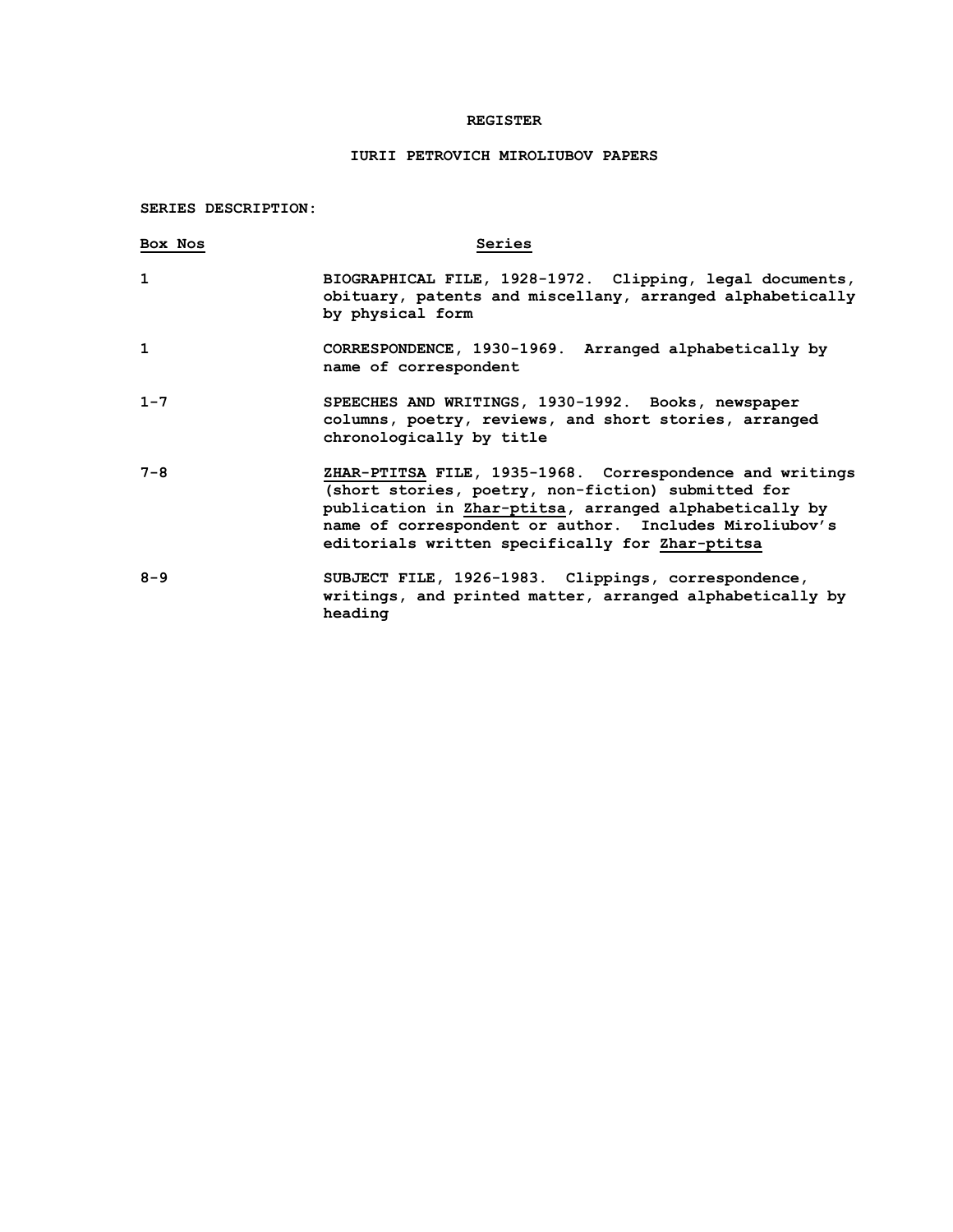### **REGISTER**

# **IURII PETROVICH MIROLIUBOV PAPERS**

**SERIES DESCRIPTION:**

| Box Nos      | Series                                                                                                                                                                                                                                                                                |
|--------------|---------------------------------------------------------------------------------------------------------------------------------------------------------------------------------------------------------------------------------------------------------------------------------------|
| 1            | BIOGRAPHICAL FILE, 1928-1972. Clipping, legal documents,<br>obituary, patents and miscellany, arranged alphabetically<br>by physical form                                                                                                                                             |
| $\mathbf{1}$ | CORRESPONDENCE, 1930-1969. Arranged alphabetically by<br>name of correspondent                                                                                                                                                                                                        |
| $1 - 7$      | SPEECHES AND WRITINGS, 1930-1992. Books, newspaper<br>columns, poetry, reviews, and short stories, arranged<br>chronologically by title                                                                                                                                               |
| $7 - 8$      | ZHAR-PTITSA FILE, 1935-1968. Correspondence and writings<br>(short stories, poetry, non-fiction) submitted for<br>publication in Zhar-ptitsa, arranged alphabetically by<br>name of correspondent or author. Includes Miroliubov's<br>editorials written specifically for Zhar-ptitsa |
| $8 - 9$      | SUBJECT FILE, 1926-1983. Clippings, correspondence,<br>writings, and printed matter, arranged alphabetically by<br>heading                                                                                                                                                            |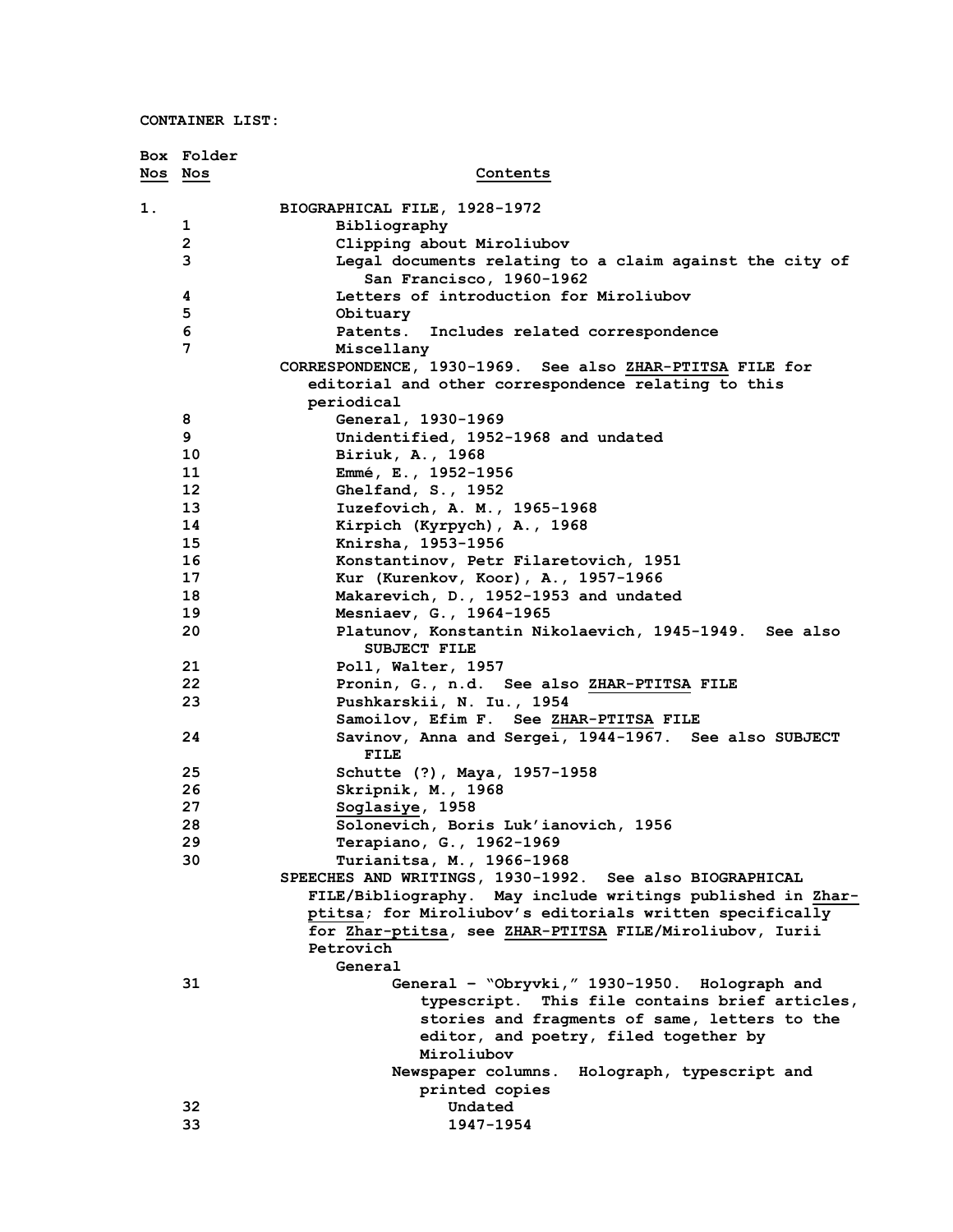**CONTAINER LIST:**

|         | Box Folder   |                                                            |
|---------|--------------|------------------------------------------------------------|
| Nos Nos |              | Contents                                                   |
|         |              |                                                            |
| 1.      |              | BIOGRAPHICAL FILE, 1928-1972                               |
|         | 1            | Bibliography                                               |
|         | $\mathbf{2}$ | Clipping about Miroliubov                                  |
|         | 3            | Legal documents relating to a claim against the city of    |
|         |              | San Francisco, 1960-1962                                   |
|         | 4            | Letters of introduction for Miroliubov                     |
|         | 5            | Obituary                                                   |
|         | 6            | Patents.<br>Includes related correspondence                |
|         | 7            | Miscellany                                                 |
|         |              | CORRESPONDENCE, 1930-1969. See also ZHAR-PTITSA FILE for   |
|         |              | editorial and other correspondence relating to this        |
|         |              | periodical                                                 |
|         | 8<br>9       | General, 1930-1969                                         |
|         | 10           | Unidentified, 1952-1968 and undated<br>Biriuk, A., 1968    |
|         | 11           | Emmé, E., 1952-1956                                        |
|         | 12           | Ghelfand, S., 1952                                         |
|         | 13           | Iuzefovich, A. M., 1965-1968                               |
|         | 14           | Kirpich (Kyrpych), A., 1968                                |
|         | 15           | Knirsha, 1953-1956                                         |
|         | 16           | Konstantinov, Petr Filaretovich, 1951                      |
|         | 17           | Kur (Kurenkov, Koor), A., 1957-1966                        |
|         | 18           | Makarevich, D., 1952-1953 and undated                      |
|         | 19           | Mesniaev, G., 1964-1965                                    |
|         | 20           | Platunov, Konstantin Nikolaevich, 1945-1949. See also      |
|         |              | <b>SUBJECT FILE</b>                                        |
|         | 21           | Poll, Walter, 1957                                         |
|         | 22           | Pronin, G., n.d. See also ZHAR-PTITSA FILE                 |
|         | 23           | Pushkarskii, N. Iu., 1954                                  |
|         |              | Samoilov, Efim F. See ZHAR-PTITSA FILE                     |
|         | 24           | Savinov, Anna and Sergei, 1944-1967. See also SUBJECT      |
|         |              | FILE                                                       |
|         | 25           | Schutte (?), Maya, 1957-1958                               |
|         | 26           | Skripnik, M., 1968                                         |
|         | 27           | Soglasiye, 1958                                            |
|         | 28           | Solonevich, Boris Luk'ianovich, 1956                       |
|         | 29           | Terapiano, G., 1962-1969                                   |
|         | 30           | Turianitsa, M., 1966-1968                                  |
|         |              | SPEECHES AND WRITINGS, 1930-1992. See also BIOGRAPHICAL    |
|         |              | FILE/Bibliography. May include writings published in Zhar- |
|         |              | ptitsa; for Miroliubov's editorials written specifically   |
|         |              | for Zhar-ptitsa, see ZHAR-PTITSA FILE/Miroliubov, Iurii    |
|         |              | Petrovich                                                  |
|         |              | General                                                    |
|         | 31           | General - "Obryvki," 1930-1950. Holograph and              |
|         |              | typescript. This file contains brief articles,             |
|         |              | stories and fragments of same, letters to the              |
|         |              | editor, and poetry, filed together by<br>Miroliubov        |
|         |              | Newspaper columns.<br>Holograph, typescript and            |
|         |              | printed copies                                             |
|         | 32           | Undated                                                    |
|         | 33           | 1947-1954                                                  |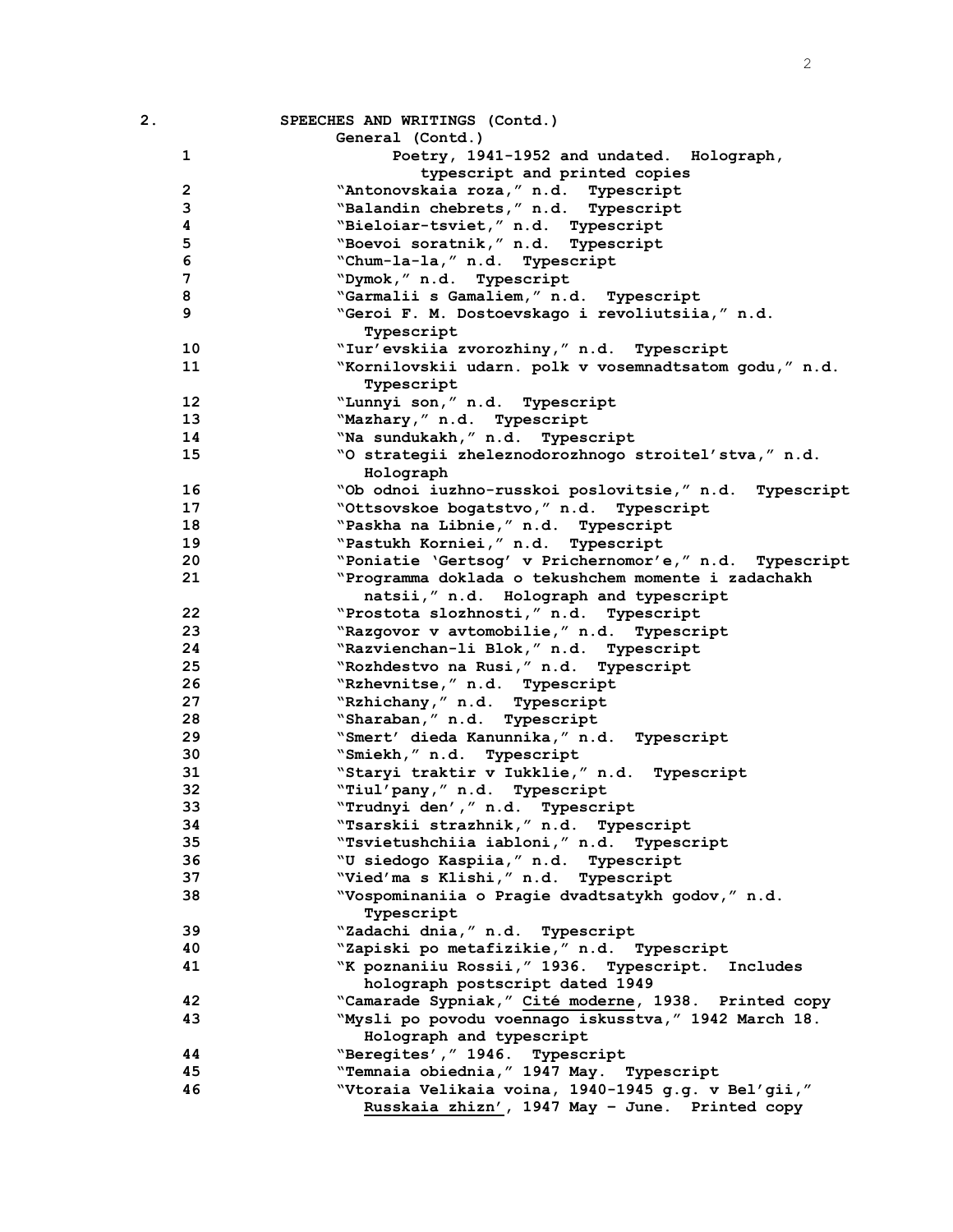| 2.                | SPEECHES AND WRITINGS (Contd.)                                 |
|-------------------|----------------------------------------------------------------|
|                   | General (Contd.)                                               |
| $\mathbf 1$       | Poetry, 1941-1952 and undated. Holograph,                      |
|                   | typescript and printed copies                                  |
| $\mathbf{2}$      | "Antonovskaia roza, " n.d. Typescript                          |
| 3                 | "Balandin chebrets," n.d. Typescript                           |
| 4                 | "Bieloiar-tsviet," n.d. Typescript                             |
| 5                 | "Boevoi soratnik," n.d. Typescript                             |
| 6                 | "Chum-la-la," n.d. Typescript                                  |
| 7                 | "Dymok, " n.d. Typescript                                      |
| 8                 | "Garmalii s Gamaliem," n.d. Typescript                         |
| 9                 | "Geroi F. M. Dostoevskago i revoliutsiia," n.d.<br>Typescript  |
| 10                | "Iur'evskiia zvorozhiny," n.d. Typescript                      |
| 11                | "Kornilovskii udarn. polk v vosemnadtsatom godu," n.d.         |
|                   | Typescript                                                     |
| $12 \overline{ }$ | "Lunnyi son," n.d. Typescript                                  |
| 13                | "Mazhary," n.d. Typescript                                     |
| 14                | "Na sundukakh, " n.d. Typescript                               |
| 15                | "O strategii zheleznodorozhnogo stroitel'stva," n.d.           |
|                   | Holograph                                                      |
| 16                | "Ob odnoi iuzhno-russkoi poslovitsie," n.d. Typescript         |
| 17                | "Ottsovskoe bogatstvo," n.d. Typescript                        |
| 18                | "Paskha na Libnie, " n.d. Typescript                           |
| 19                | "Pastukh Korniei," n.d. Typescript                             |
| 20                | "Poniatie 'Gertsog' v Prichernomor'e," n.d. Typescript         |
| 21                | "Programma doklada o tekushchem momente i zadachakh            |
|                   | natsii," n.d. Holograph and typescript                         |
| 22                | "Prostota slozhnosti, " n.d. Typescript                        |
| 23                | "Razgovor v avtomobilie," n.d. Typescript                      |
| 24                | "Razvienchan-li Blok," n.d. Typescript                         |
| 25                | "Rozhdestvo na Rusi," n.d. Typescript                          |
| 26                | "Rzhevnitse," n.d. Typescript                                  |
| 27                | "Rzhichany," n.d. Typescript                                   |
| 28                | "Sharaban," n.d. Typescript                                    |
| 29                | "Smert' dieda Kanunnika, " n.d. Typescript                     |
| 30                | "Smiekh," n.d. Typescript                                      |
| 31                | "Staryi traktir v Iukklie," n.d. Typescript                    |
| 32                | "Tiul'pany," n.d. Typescript                                   |
| 33                | "Trudnyi den', " n.d. Typescript                               |
| 34                | "Tsarskii strazhnik," n.d.<br>Typescript                       |
| 35                | "Tsvietushchiia iabloni," n.d.<br>Typescript                   |
| 36                | "U siedogo Kaspiia, " n.d. Typescript                          |
| 37                | "Vied'ma s Klishi," n.d. Typescript                            |
| 38                | "Vospominaniia o Pragie dvadtsatykh godov," n.d.<br>Typescript |
| 39                | "Zadachi dnia, " n.d. Typescript                               |
| 40                | "Zapiski po metafizikie," n.d. Typescript                      |
| 41                | "K poznaniiu Rossii, "1936. Typescript. Includes               |
|                   | holograph postscript dated 1949                                |
| 42                | "Camarade Sypniak," Cité moderne, 1938. Printed copy           |
| 43                | "Mysli po povodu voennago iskusstva, " 1942 March 18.          |
|                   | Holograph and typescript                                       |
| 44                | "Beregites', " 1946. Typescript                                |
| 45                | "Temnaia obiednia, " 1947 May. Typescript                      |
| 46                | "Vtoraia Velikaia voina, 1940-1945 g.g. v Bel'gii,"            |
|                   | Russkaia zhizn', 1947 May - June. Printed copy                 |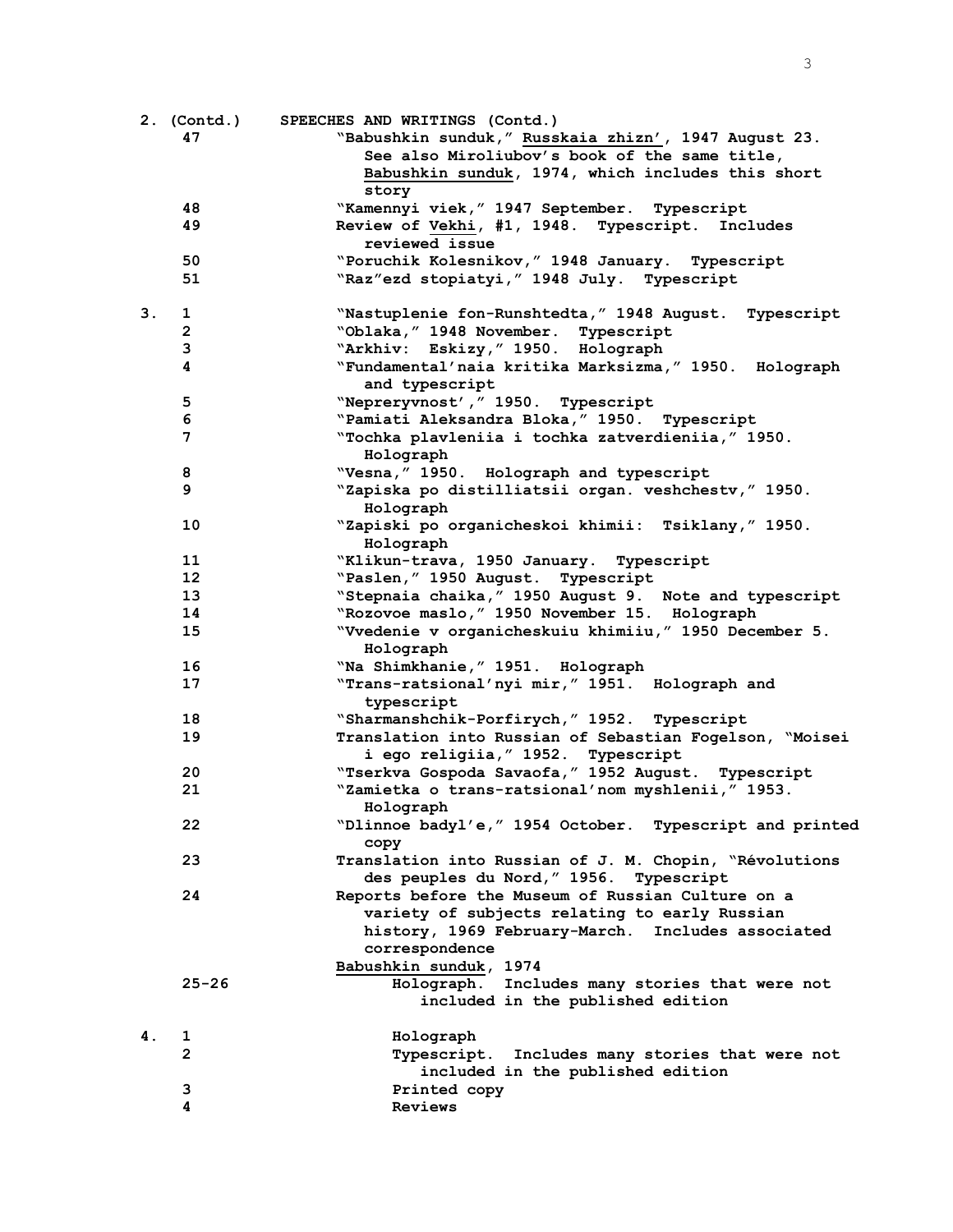|    | 2. (Contd.)       | SPEECHES AND WRITINGS (Contd.)                                                                         |
|----|-------------------|--------------------------------------------------------------------------------------------------------|
|    | 47                | "Babushkin sunduk," Russkaia zhizn', 1947 August 23.                                                   |
|    |                   | See also Miroliubov's book of the same title,                                                          |
|    |                   | Babushkin sunduk, 1974, which includes this short                                                      |
|    |                   | story                                                                                                  |
|    | 48                | "Kamennyi viek, "1947 September. Typescript                                                            |
|    | 49                | Review of Vekhi, #1, 1948. Typescript. Includes                                                        |
|    |                   | reviewed issue                                                                                         |
|    | 50                | "Poruchik Kolesnikov, " 1948 January. Typescript                                                       |
|    | 51                | "Raz"ezd stopiatyi, " 1948 July. Typescript                                                            |
| 3. | 1                 | "Nastuplenie fon-Runshtedta," 1948 August. Typescript                                                  |
|    | $\overline{2}$    | "Oblaka, " 1948 November. Typescript                                                                   |
|    | $\mathbf{3}$      | "Arkhiv: Eskizy," 1950. Holograph                                                                      |
|    | 4                 | "Fundamental'naia kritika Marksizma, " 1950. Holograph                                                 |
|    |                   | and typescript                                                                                         |
|    | 5                 | "Nepreryvnost', " 1950. Typescript                                                                     |
|    | 6                 | "Pamiati Aleksandra Bloka, " 1950. Typescript                                                          |
|    | 7                 | "Tochka plavleniia i tochka zatverdieniia," 1950.<br>Holograph                                         |
|    | 8                 | "Vesna, " 1950. Holograph and typescript                                                               |
|    | 9                 | "Zapiska po distilliatsii organ. veshchestv," 1950.                                                    |
|    |                   | Holograph                                                                                              |
|    | 10                | "Zapiski po organicheskoi khimii: Tsiklany," 1950.                                                     |
|    |                   | Holograph                                                                                              |
|    | 11                | "Klikun-trava, 1950 January. Typescript                                                                |
|    | $12 \overline{ }$ | "Paslen, " 1950 August. Typescript                                                                     |
|    | 13                | "Stepnaia chaika, " 1950 August 9. Note and typescript                                                 |
|    | 14<br>15          | "Rozovoe maslo, " 1950 November 15. Holograph<br>"Vvedenie v organicheskuiu khimiiu, "1950 December 5. |
|    |                   | Holograph                                                                                              |
|    | 16                | "Na Shimkhanie, " 1951. Holograph                                                                      |
|    | 17                | "Trans-ratsional'nyi mir," 1951. Holograph and                                                         |
|    |                   | typescript                                                                                             |
|    | 18                | "Sharmanshchik-Porfirych," 1952. Typescript                                                            |
|    | 19                | Translation into Russian of Sebastian Fogelson, "Moisei                                                |
|    |                   | i ego religiia, "1952. Typescript                                                                      |
|    | 20                | "Tserkva Gospoda Savaofa, " 1952 August. Typescript                                                    |
|    | 21                | "Zamietka o trans-ratsional'nom myshlenii, "1953.                                                      |
|    |                   | Holograph                                                                                              |
|    | 22                | "Dlinnoe badyl'e," 1954 October. Typescript and printed                                                |
|    |                   | copy                                                                                                   |
|    | 23                | Translation into Russian of J. M. Chopin, "Révolutions                                                 |
|    |                   | des peuples du Nord, " 1956. Typescript                                                                |
|    | 24                | Reports before the Museum of Russian Culture on a                                                      |
|    |                   | variety of subjects relating to early Russian<br>history, 1969 February-March. Includes associated     |
|    |                   | correspondence                                                                                         |
|    |                   | Babushkin sunduk, 1974                                                                                 |
|    | $25 - 26$         | Holograph.<br>Includes many stories that were not                                                      |
|    |                   | included in the published edition                                                                      |
|    |                   |                                                                                                        |
| 4. | 1                 | Holograph                                                                                              |
|    | $\mathbf{2}$      | Typescript. Includes many stories that were not                                                        |
|    |                   | included in the published edition                                                                      |
|    | 3                 | Printed copy                                                                                           |
|    | 4                 | Reviews                                                                                                |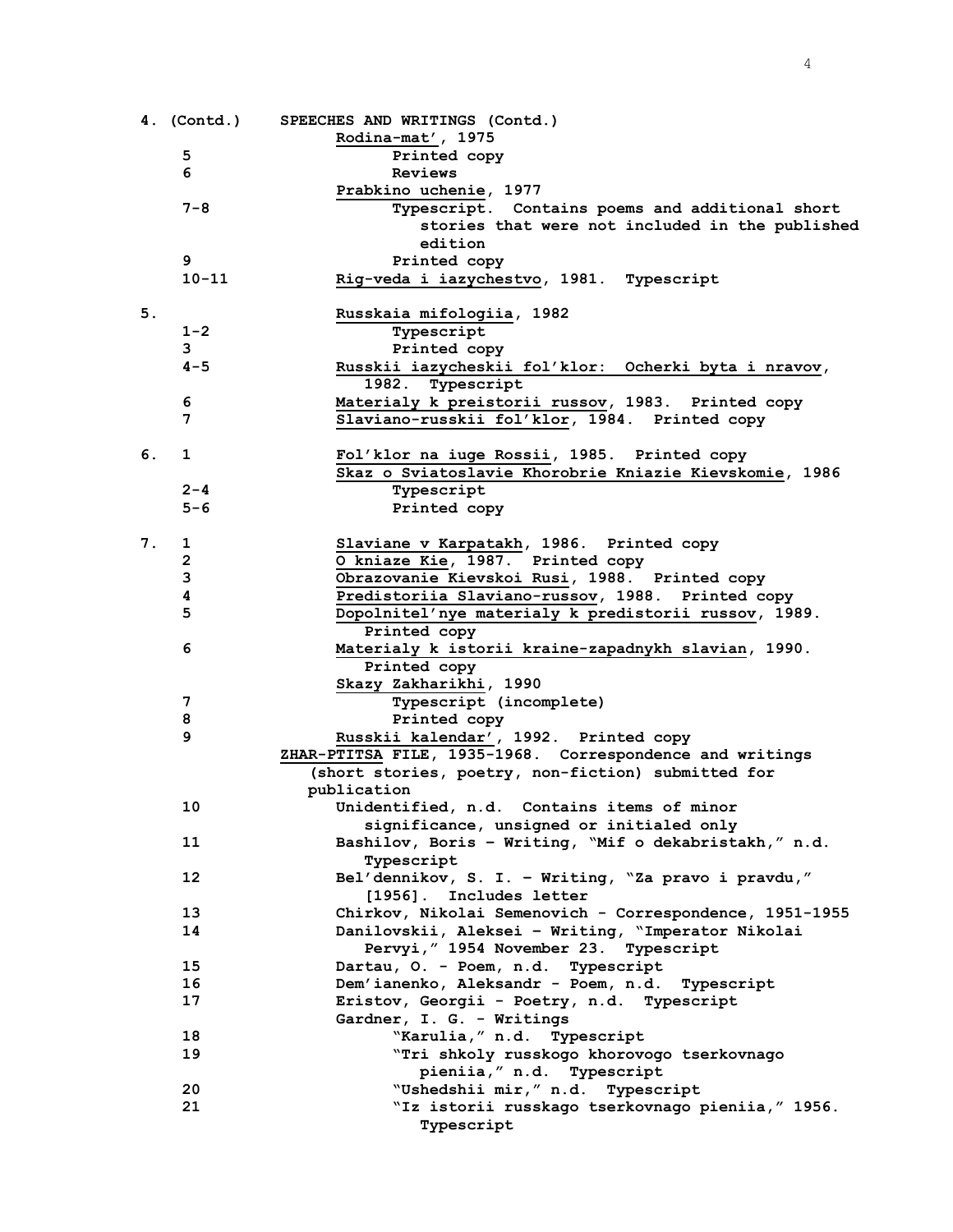|    |           | 4. (Contd.) SPEECHES AND WRITINGS (Contd.)                     |
|----|-----------|----------------------------------------------------------------|
|    |           | Rodina-mat', 1975                                              |
|    | 5         | Printed copy                                                   |
|    | 6         | Reviews                                                        |
|    |           | Prabkino uchenie, 1977                                         |
|    | $7 - 8$   | Typescript. Contains poems and additional short                |
|    |           | stories that were not included in the published                |
|    |           | edition                                                        |
|    | 9         | Printed copy                                                   |
|    | $10 - 11$ | Rig-veda i iazychestvo, 1981. Typescript                       |
|    |           |                                                                |
| 5. |           | Russkaia mifologiia, 1982                                      |
|    | $1 - 2$   | Typescript                                                     |
|    | 3         | Printed copy                                                   |
|    | $4 - 5$   | Russkii iazycheskii fol'klor: Ocherki byta i nravov,           |
|    |           | 1982. Typescript                                               |
|    | 6         | Materialy k preistorii russov, 1983. Printed copy              |
|    | 7         | Slaviano-russkii fol'klor, 1984. Printed copy                  |
|    |           |                                                                |
| 6. | 1         | Fol'klor na iuge Rossii, 1985. Printed copy                    |
|    | $2 - 4$   | Skaz o Sviatoslavie Khorobrie Kniazie Kievskomie, 1986         |
|    | $5 - 6$   | Typescript<br>Printed copy                                     |
|    |           |                                                                |
| 7. | 1         | Slaviane v Karpatakh, 1986. Printed copy                       |
|    | 2         | O kniaze Kie, 1987. Printed copy                               |
|    | 3         | Obrazovanie Kievskoi Rusi, 1988. Printed copy                  |
|    | 4         | Predistoriia Slaviano-russov, 1988. Printed copy               |
|    | 5         | Dopolnitel'nye materialy k predistorii russov, 1989.           |
|    |           | Printed copy                                                   |
|    | 6         | Materialy k istorii kraine-zapadnykh slavian, 1990.            |
|    |           | Printed copy                                                   |
|    |           | Skazy Zakharikhi, 1990                                         |
|    | 7         | Typescript (incomplete)                                        |
|    | 8         | Printed copy                                                   |
|    | 9         | Russkii kalendar', 1992. Printed copy                          |
|    |           | ZHAR-PTITSA FILE, 1935-1968. Correspondence and writings       |
|    |           | (short stories, poetry, non-fiction) submitted for             |
|    |           | publication                                                    |
|    | 10        | Unidentified, n.d. Contains items of minor                     |
|    |           | significance, unsigned or initialed only                       |
|    | 11        | Bashilov, Boris - Writing, "Mif o dekabristakh," n.d.          |
|    |           | Typescript                                                     |
|    | 12        | Bel'dennikov, S. I. - Writing, "Za pravo i pravdu,"            |
|    |           | [1956]. Includes letter                                        |
|    | 13        | Chirkov, Nikolai Semenovich - Correspondence, 1951-1955        |
|    | 14        | Danilovskii, Aleksei - Writing, "Imperator Nikolai             |
|    |           | Pervyi, " 1954 November 23. Typescript                         |
|    | 15        | Dartau, O. - Poem, n.d. Typescript                             |
|    | 16        | Dem'ianenko, Aleksandr - Poem, n.d. Typescript                 |
|    | 17        | Eristov, Georgii - Poetry, n.d. Typescript                     |
|    |           | Gardner, I. G. - Writings                                      |
|    | 18<br>19  | "Karulia, " n.d. Typescript                                    |
|    |           | "Tri shkoly russkogo khorovogo tserkovnago                     |
|    | 20        | pieniia, " n.d. Typescript<br>"Ushedshii mir," n.d. Typescript |
|    | 21        | "Iz istorii russkago tserkovnago pieniia, " 1956.              |
|    |           | Typescript                                                     |
|    |           |                                                                |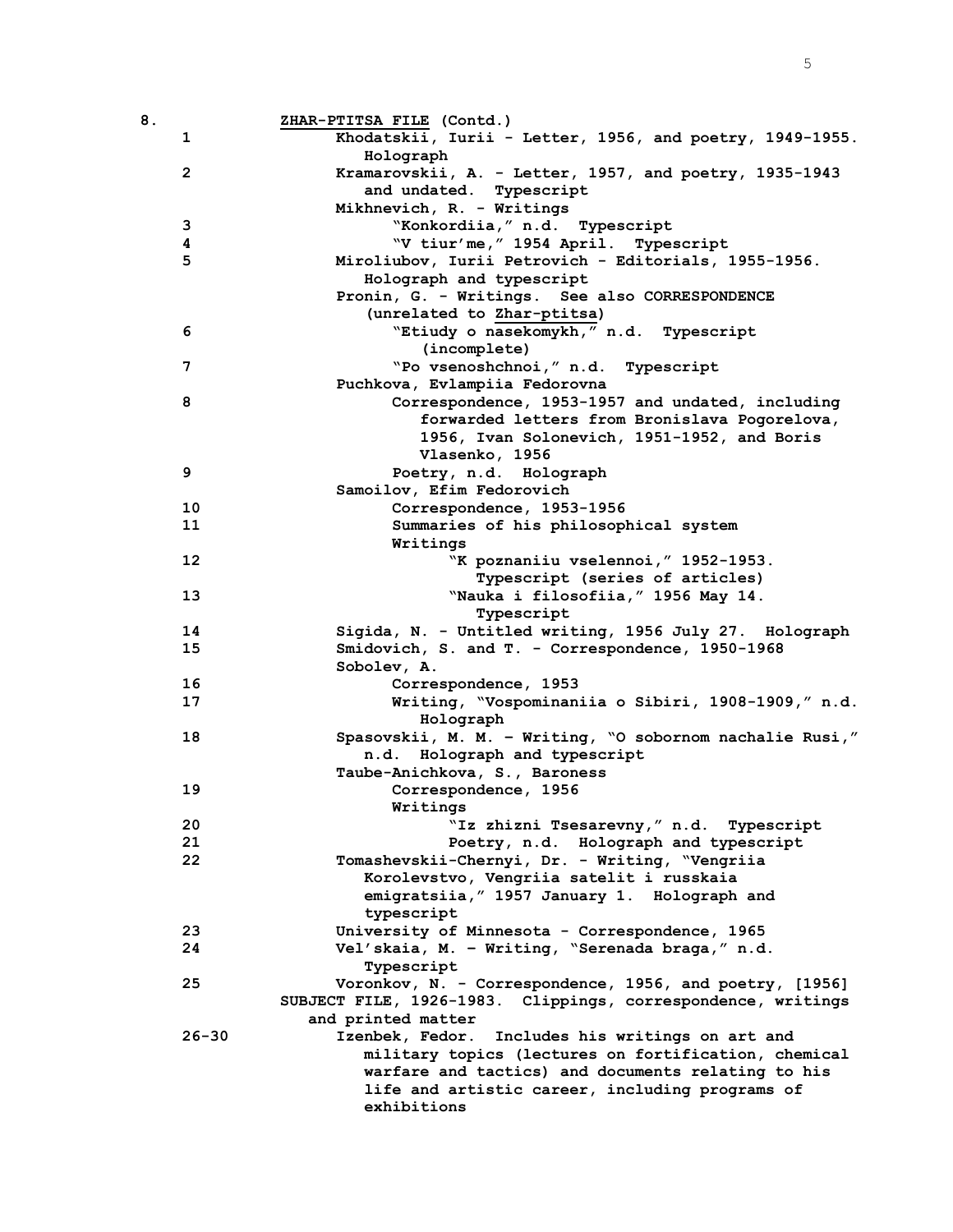| 8. |                   | ZHAR-PTITSA FILE (Contd.)                                                                             |
|----|-------------------|-------------------------------------------------------------------------------------------------------|
|    | 1                 | Khodatskii, Iurii - Letter, 1956, and poetry, 1949-1955.                                              |
|    |                   | Holograph                                                                                             |
|    | $\overline{2}$    | Kramarovskii, A. - Letter, 1957, and poetry, 1935-1943                                                |
|    |                   | and undated. Typescript                                                                               |
|    |                   | Mikhnevich, R. - Writings                                                                             |
|    | 3                 | "Konkordiia, " n.d. Typescript                                                                        |
|    | 4                 | "V tiur'me, " 1954 April. Typescript                                                                  |
|    | 5                 | Miroliubov, Iurii Petrovich - Editorials, 1955-1956.                                                  |
|    |                   | Holograph and typescript                                                                              |
|    |                   | Pronin, G. - Writings. See also CORRESPONDENCE                                                        |
|    |                   | (unrelated to Zhar-ptitsa)                                                                            |
|    | 6                 | "Etiudy o nasekomykh," n.d. Typescript                                                                |
|    | 7                 | (incomplete)<br>"Po vsenoshchnoi," n.d. Typescript                                                    |
|    |                   |                                                                                                       |
|    | 8                 | Puchkova, Evlampiia Fedorovna<br>Correspondence, 1953-1957 and undated, including                     |
|    |                   | forwarded letters from Bronislava Pogorelova,                                                         |
|    |                   | 1956, Ivan Solonevich, 1951-1952, and Boris                                                           |
|    |                   | Vlasenko, 1956                                                                                        |
|    | 9                 | Poetry, n.d. Holograph                                                                                |
|    |                   | Samoilov, Efim Fedorovich                                                                             |
|    | 10                | Correspondence, 1953-1956                                                                             |
|    | 11                | Summaries of his philosophical system                                                                 |
|    |                   | Writings                                                                                              |
|    | $12 \overline{ }$ | "K poznaniiu vselennoi, " 1952-1953.                                                                  |
|    |                   | Typescript (series of articles)                                                                       |
|    | 13                | "Nauka i filosofiia," 1956 May 14.                                                                    |
|    |                   | Typescript                                                                                            |
|    | 14                | Sigida, N. - Untitled writing, 1956 July 27. Holograph                                                |
|    | 15                | Smidovich, S. and T. - Correspondence, 1950-1968                                                      |
|    |                   | Sobolev, A.                                                                                           |
|    | 16                | Correspondence, 1953                                                                                  |
|    | 17                | Writing, "Vospominaniia o Sibiri, 1908-1909," n.d.                                                    |
|    |                   | Holograph                                                                                             |
|    | 18                | Spasovskii, M. M. - Writing, "O sobornom nachalie Rusi,"                                              |
|    |                   | n.d. Holograph and typescript                                                                         |
|    |                   | Taube-Anichkova, S., Baroness                                                                         |
|    | 19                | Correspondence, 1956                                                                                  |
|    |                   | Writings                                                                                              |
|    | 20                | "Iz zhizni Tsesarevny," n.d. Typescript                                                               |
|    | 21                | Poetry, n.d. Holograph and typescript                                                                 |
|    | 22                | Tomashevskii-Chernyi, Dr. - Writing, "Vengriia                                                        |
|    |                   | Korolevstvo, Vengriia satelit i russkaia                                                              |
|    |                   | emigratsiia, " 1957 January 1. Holograph and                                                          |
|    |                   | typescript                                                                                            |
|    | 23                | University of Minnesota - Correspondence, 1965                                                        |
|    | 24                | Vel'skaia, M. - Writing, "Serenada braga," n.d.                                                       |
|    |                   | Typescript                                                                                            |
|    | 25                | Voronkov, N. - Correspondence, 1956, and poetry, [1956]                                               |
|    |                   | SUBJECT FILE, 1926-1983. Clippings, correspondence, writings                                          |
|    |                   | and printed matter                                                                                    |
|    | $26 - 30$         | Izenbek, Fedor. Includes his writings on art and                                                      |
|    |                   | military topics (lectures on fortification, chemical                                                  |
|    |                   | warfare and tactics) and documents relating to his<br>life and artistic career, including programs of |
|    |                   | exhibitions                                                                                           |
|    |                   |                                                                                                       |